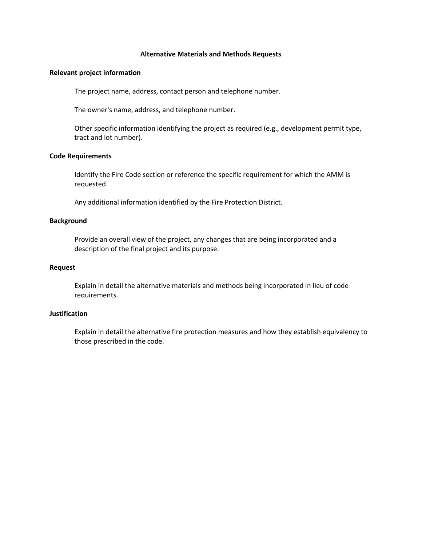## **Alternative Materials and Methods Requests**

### **Relevant project information**

The project name, address, contact person and telephone number.

The owner's name, address, and telephone number.

Other specific information identifying the project as required (e.g., development permit type, tract and lot number).

### **Code Requirements**

Identify the Fire Code section or reference the specific requirement for which the AMM is requested.

Any additional information identified by the Fire Protection District.

## **Background**

Provide an overall view of the project, any changes that are being incorporated and a description of the final project and its purpose.

## **Request**

Explain in detail the alternative materials and methods being incorporated in lieu of code requirements.

## **Justification**

Explain in detail the alternative fire protection measures and how they establish equivalency to those prescribed in the code.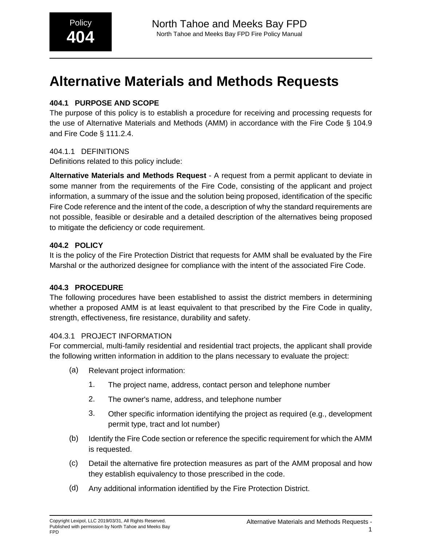# **Alternative Materials and Methods Requests**

# **404.1 PURPOSE AND SCOPE**

The purpose of this policy is to establish a procedure for receiving and processing requests for the use of Alternative Materials and Methods (AMM) in accordance with the Fire Code § 104.9 and Fire Code § 111.2.4.

# 404.1.1 DEFINITIONS

Definitions related to this policy include:

**Alternative Materials and Methods Request** - A request from a permit applicant to deviate in some manner from the requirements of the Fire Code, consisting of the applicant and project information, a summary of the issue and the solution being proposed, identification of the specific Fire Code reference and the intent of the code, a description of why the standard requirements are not possible, feasible or desirable and a detailed description of the alternatives being proposed to mitigate the deficiency or code requirement.

# **404.2 POLICY**

It is the policy of the Fire Protection District that requests for AMM shall be evaluated by the Fire Marshal or the authorized designee for compliance with the intent of the associated Fire Code.

# **404.3 PROCEDURE**

The following procedures have been established to assist the district members in determining whether a proposed AMM is at least equivalent to that prescribed by the Fire Code in quality, strength, effectiveness, fire resistance, durability and safety.

# 404.3.1 PROJECT INFORMATION

For commercial, multi-family residential and residential tract projects, the applicant shall provide the following written information in addition to the plans necessary to evaluate the project:

- (a) Relevant project information:
	- 1. The project name, address, contact person and telephone number
	- 2. The owner's name, address, and telephone number
	- 3. Other specific information identifying the project as required (e.g., development permit type, tract and lot number)
- (b) Identify the Fire Code section or reference the specific requirement for which the AMM is requested.
- (c) Detail the alternative fire protection measures as part of the AMM proposal and how they establish equivalency to those prescribed in the code.
- (d) Any additional information identified by the Fire Protection District.